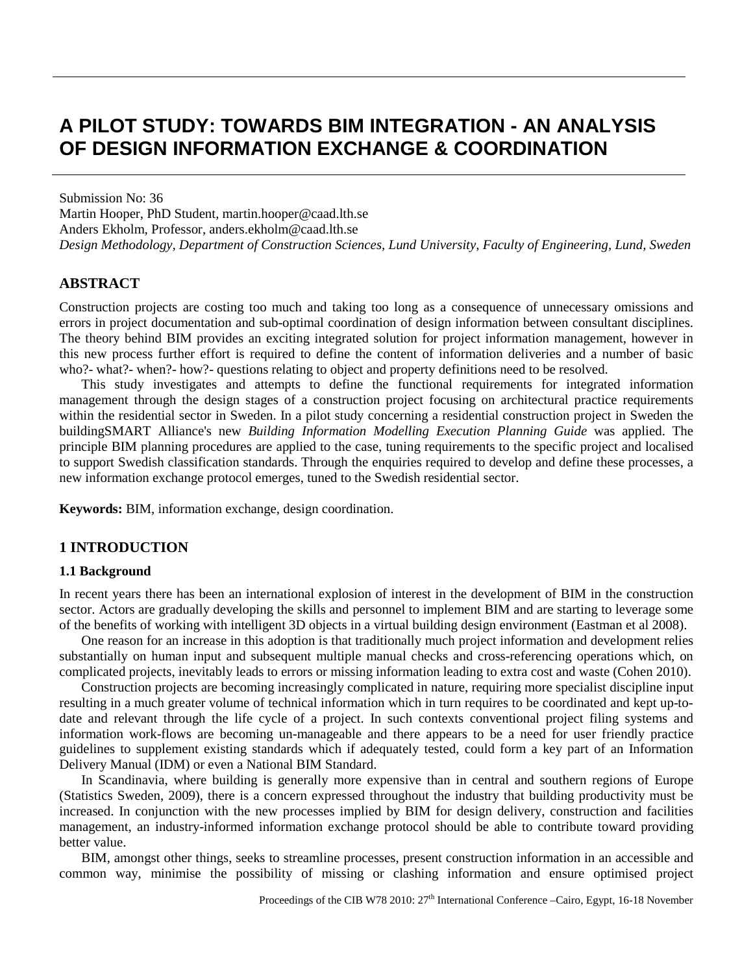# **A PILOT STUDY: TOWARDS BIM INTEGRATION - AN ANALYSIS OF DESIGN INFORMATION EXCHANGE & COORDINATION**

Submission No: 36 Martin Hooper, PhD Student, martin.hooper@caad.lth.se Anders Ekholm, Professor, anders.ekholm@caad.lth.se *Design Methodology, Department of Construction Sciences, Lund University, Faculty of Engineering, Lund, Sweden*

## **ABSTRACT**

Construction projects are costing too much and taking too long as a consequence of unnecessary omissions and errors in project documentation and sub-optimal coordination of design information between consultant disciplines. The theory behind BIM provides an exciting integrated solution for project information management, however in this new process further effort is required to define the content of information deliveries and a number of basic who?- what?- when?- how?- questions relating to object and property definitions need to be resolved.

This study investigates and attempts to define the functional requirements for integrated information management through the design stages of a construction project focusing on architectural practice requirements within the residential sector in Sweden. In a pilot study concerning a residential construction project in Sweden the buildingSMART Alliance's new *Building Information Modelling Execution Planning Guide* was applied. The principle BIM planning procedures are applied to the case, tuning requirements to the specific project and localised to support Swedish classification standards. Through the enquiries required to develop and define these processes, a new information exchange protocol emerges, tuned to the Swedish residential sector.

**Keywords:** BIM, information exchange, design coordination.

#### **1 INTRODUCTION**

#### **1.1 Background**

In recent years there has been an international explosion of interest in the development of BIM in the construction sector. Actors are gradually developing the skills and personnel to implement BIM and are starting to leverage some of the benefits of working with intelligent 3D objects in a virtual building design environment (Eastman et al 2008).

One reason for an increase in this adoption is that traditionally much project information and development relies substantially on human input and subsequent multiple manual checks and cross-referencing operations which, on complicated projects, inevitably leads to errors or missing information leading to extra cost and waste (Cohen 2010).

Construction projects are becoming increasingly complicated in nature, requiring more specialist discipline input resulting in a much greater volume of technical information which in turn requires to be coordinated and kept up-todate and relevant through the life cycle of a project. In such contexts conventional project filing systems and information work-flows are becoming un-manageable and there appears to be a need for user friendly practice guidelines to supplement existing standards which if adequately tested, could form a key part of an Information Delivery Manual (IDM) or even a National BIM Standard.

In Scandinavia, where building is generally more expensive than in central and southern regions of Europe (Statistics Sweden, 2009), there is a concern expressed throughout the industry that building productivity must be increased. In conjunction with the new processes implied by BIM for design delivery, construction and facilities management, an industry-informed information exchange protocol should be able to contribute toward providing better value.

BIM, amongst other things, seeks to streamline processes, present construction information in an accessible and common way, minimise the possibility of missing or clashing information and ensure optimised project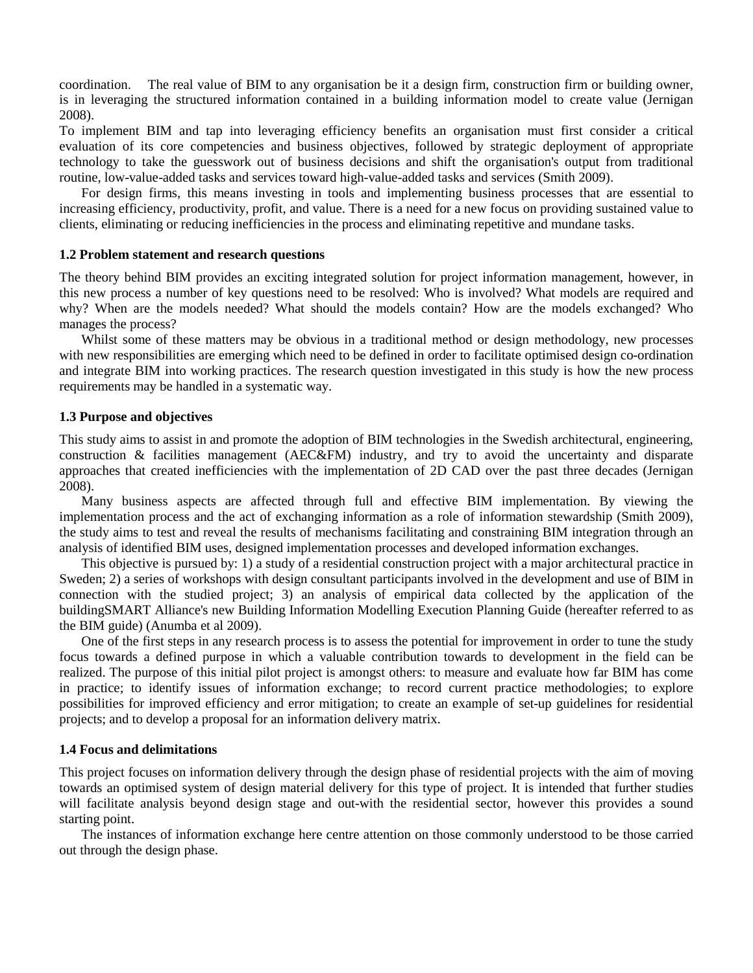coordination. The real value of BIM to any organisation be it a design firm, construction firm or building owner, is in leveraging the structured information contained in a building information model to create value (Jernigan 2008).

To implement BIM and tap into leveraging efficiency benefits an organisation must first consider a critical evaluation of its core competencies and business objectives, followed by strategic deployment of appropriate technology to take the guesswork out of business decisions and shift the organisation's output from traditional routine, low-value-added tasks and services toward high-value-added tasks and services (Smith 2009).

For design firms, this means investing in tools and implementing business processes that are essential to increasing efficiency, productivity, profit, and value. There is a need for a new focus on providing sustained value to clients, eliminating or reducing inefficiencies in the process and eliminating repetitive and mundane tasks.

#### **1.2 Problem statement and research questions**

The theory behind BIM provides an exciting integrated solution for project information management, however, in this new process a number of key questions need to be resolved: Who is involved? What models are required and why? When are the models needed? What should the models contain? How are the models exchanged? Who manages the process?

Whilst some of these matters may be obvious in a traditional method or design methodology, new processes with new responsibilities are emerging which need to be defined in order to facilitate optimised design co-ordination and integrate BIM into working practices. The research question investigated in this study is how the new process requirements may be handled in a systematic way.

#### **1.3 Purpose and objectives**

This study aims to assist in and promote the adoption of BIM technologies in the Swedish architectural, engineering, construction & facilities management (AEC&FM) industry, and try to avoid the uncertainty and disparate approaches that created inefficiencies with the implementation of 2D CAD over the past three decades (Jernigan 2008).

Many business aspects are affected through full and effective BIM implementation. By viewing the implementation process and the act of exchanging information as a role of information stewardship (Smith 2009), the study aims to test and reveal the results of mechanisms facilitating and constraining BIM integration through an analysis of identified BIM uses, designed implementation processes and developed information exchanges.

This objective is pursued by: 1) a study of a residential construction project with a major architectural practice in Sweden; 2) a series of workshops with design consultant participants involved in the development and use of BIM in connection with the studied project; 3) an analysis of empirical data collected by the application of the buildingSMART Alliance's new Building Information Modelling Execution Planning Guide (hereafter referred to as the BIM guide) (Anumba et al 2009).

One of the first steps in any research process is to assess the potential for improvement in order to tune the study focus towards a defined purpose in which a valuable contribution towards to development in the field can be realized. The purpose of this initial pilot project is amongst others: to measure and evaluate how far BIM has come in practice; to identify issues of information exchange; to record current practice methodologies; to explore possibilities for improved efficiency and error mitigation; to create an example of set-up guidelines for residential projects; and to develop a proposal for an information delivery matrix.

#### **1.4 Focus and delimitations**

This project focuses on information delivery through the design phase of residential projects with the aim of moving towards an optimised system of design material delivery for this type of project. It is intended that further studies will facilitate analysis beyond design stage and out-with the residential sector, however this provides a sound starting point.

The instances of information exchange here centre attention on those commonly understood to be those carried out through the design phase.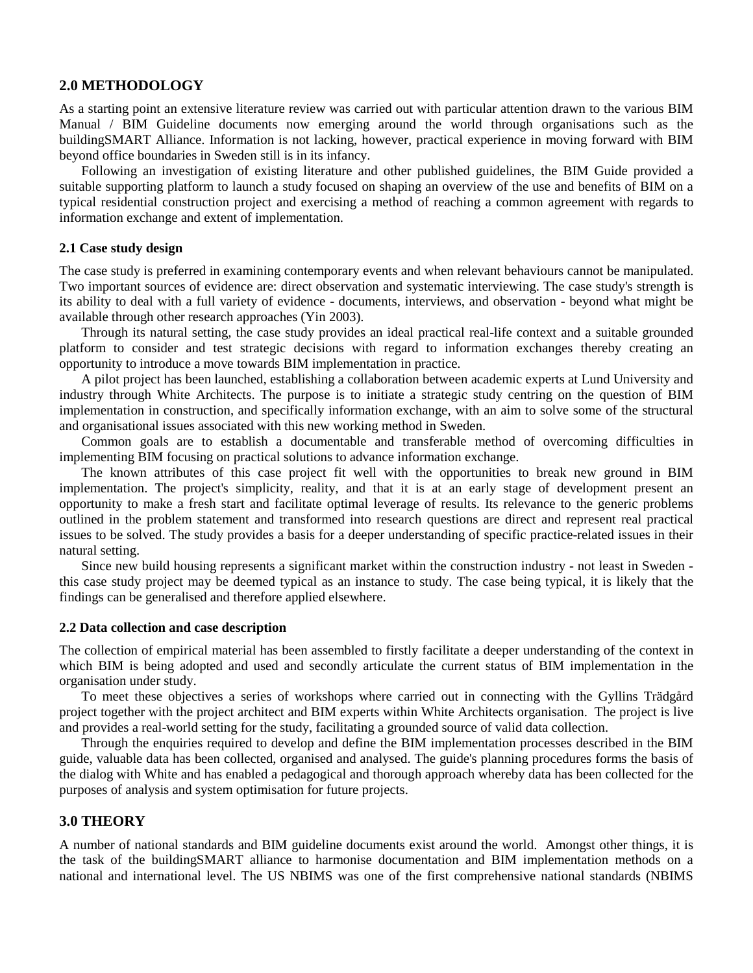## **2.0 METHODOLOGY**

As a starting point an extensive literature review was carried out with particular attention drawn to the various BIM Manual / BIM Guideline documents now emerging around the world through organisations such as the buildingSMART Alliance. Information is not lacking, however, practical experience in moving forward with BIM beyond office boundaries in Sweden still is in its infancy.

Following an investigation of existing literature and other published guidelines, the BIM Guide provided a suitable supporting platform to launch a study focused on shaping an overview of the use and benefits of BIM on a typical residential construction project and exercising a method of reaching a common agreement with regards to information exchange and extent of implementation.

#### **2.1 Case study design**

The case study is preferred in examining contemporary events and when relevant behaviours cannot be manipulated. Two important sources of evidence are: direct observation and systematic interviewing. The case study's strength is its ability to deal with a full variety of evidence - documents, interviews, and observation - beyond what might be available through other research approaches (Yin 2003).

Through its natural setting, the case study provides an ideal practical real-life context and a suitable grounded platform to consider and test strategic decisions with regard to information exchanges thereby creating an opportunity to introduce a move towards BIM implementation in practice.

A pilot project has been launched, establishing a collaboration between academic experts at Lund University and industry through White Architects. The purpose is to initiate a strategic study centring on the question of BIM implementation in construction, and specifically information exchange, with an aim to solve some of the structural and organisational issues associated with this new working method in Sweden.

Common goals are to establish a documentable and transferable method of overcoming difficulties in implementing BIM focusing on practical solutions to advance information exchange.

The known attributes of this case project fit well with the opportunities to break new ground in BIM implementation. The project's simplicity, reality, and that it is at an early stage of development present an opportunity to make a fresh start and facilitate optimal leverage of results. Its relevance to the generic problems outlined in the problem statement and transformed into research questions are direct and represent real practical issues to be solved. The study provides a basis for a deeper understanding of specific practice-related issues in their natural setting.

Since new build housing represents a significant market within the construction industry - not least in Sweden this case study project may be deemed typical as an instance to study. The case being typical, it is likely that the findings can be generalised and therefore applied elsewhere.

## **2.2 Data collection and case description**

The collection of empirical material has been assembled to firstly facilitate a deeper understanding of the context in which BIM is being adopted and used and secondly articulate the current status of BIM implementation in the organisation under study.

To meet these objectives a series of workshops where carried out in connecting with the Gyllins Trädgård project together with the project architect and BIM experts within White Architects organisation. The project is live and provides a real-world setting for the study, facilitating a grounded source of valid data collection.

Through the enquiries required to develop and define the BIM implementation processes described in the BIM guide, valuable data has been collected, organised and analysed. The guide's planning procedures forms the basis of the dialog with White and has enabled a pedagogical and thorough approach whereby data has been collected for the purposes of analysis and system optimisation for future projects.

## **3.0 THEORY**

A number of national standards and BIM guideline documents exist around the world. Amongst other things, it is the task of the buildingSMART alliance to harmonise documentation and BIM implementation methods on a national and international level. The US NBIMS was one of the first comprehensive national standards (NBIMS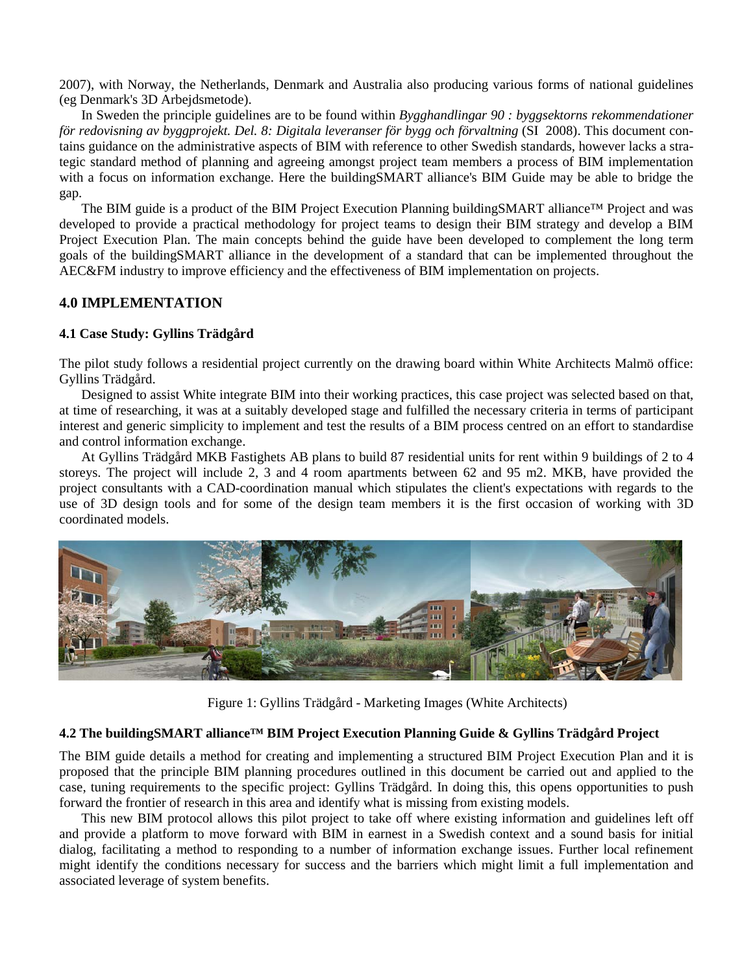2007), with Norway, the Netherlands, Denmark and Australia also producing various forms of national guidelines (eg Denmark's 3D Arbejdsmetode).

In Sweden the principle guidelines are to be found within *Bygghandlingar 90 : byggsektorns rekommendationer för redovisning av byggprojekt. Del. 8: Digitala leveranser för bygg och förvaltning* (SI 2008). This document contains guidance on the administrative aspects of BIM with reference to other Swedish standards, however lacks a strategic standard method of planning and agreeing amongst project team members a process of BIM implementation with a focus on information exchange. Here the buildingSMART alliance's BIM Guide may be able to bridge the gap.

The BIM guide is a product of the BIM Project Execution Planning buildingSMART alliance™ Project and was developed to provide a practical methodology for project teams to design their BIM strategy and develop a BIM Project Execution Plan. The main concepts behind the guide have been developed to complement the long term goals of the buildingSMART alliance in the development of a standard that can be implemented throughout the AEC&FM industry to improve efficiency and the effectiveness of BIM implementation on projects.

## **4.0 IMPLEMENTATION**

## **4.1 Case Study: Gyllins Trädgård**

The pilot study follows a residential project currently on the drawing board within White Architects Malmö office: Gyllins Trädgård.

Designed to assist White integrate BIM into their working practices, this case project was selected based on that, at time of researching, it was at a suitably developed stage and fulfilled the necessary criteria in terms of participant interest and generic simplicity to implement and test the results of a BIM process centred on an effort to standardise and control information exchange.

At Gyllins Trädgård MKB Fastighets AB plans to build 87 residential units for rent within 9 buildings of 2 to 4 storeys. The project will include 2, 3 and 4 room apartments between 62 and 95 m2. MKB, have provided the project consultants with a CAD-coordination manual which stipulates the client's expectations with regards to the use of 3D design tools and for some of the design team members it is the first occasion of working with 3D coordinated models.



Figure 1: Gyllins Trädgård - Marketing Images (White Architects)

## **4.2 The buildingSMART alliance™ BIM Project Execution Planning Guide & Gyllins Trädgård Project**

The BIM guide details a method for creating and implementing a structured BIM Project Execution Plan and it is proposed that the principle BIM planning procedures outlined in this document be carried out and applied to the case, tuning requirements to the specific project: Gyllins Trädgård. In doing this, this opens opportunities to push forward the frontier of research in this area and identify what is missing from existing models.

This new BIM protocol allows this pilot project to take off where existing information and guidelines left off and provide a platform to move forward with BIM in earnest in a Swedish context and a sound basis for initial dialog, facilitating a method to responding to a number of information exchange issues. Further local refinement might identify the conditions necessary for success and the barriers which might limit a full implementation and associated leverage of system benefits.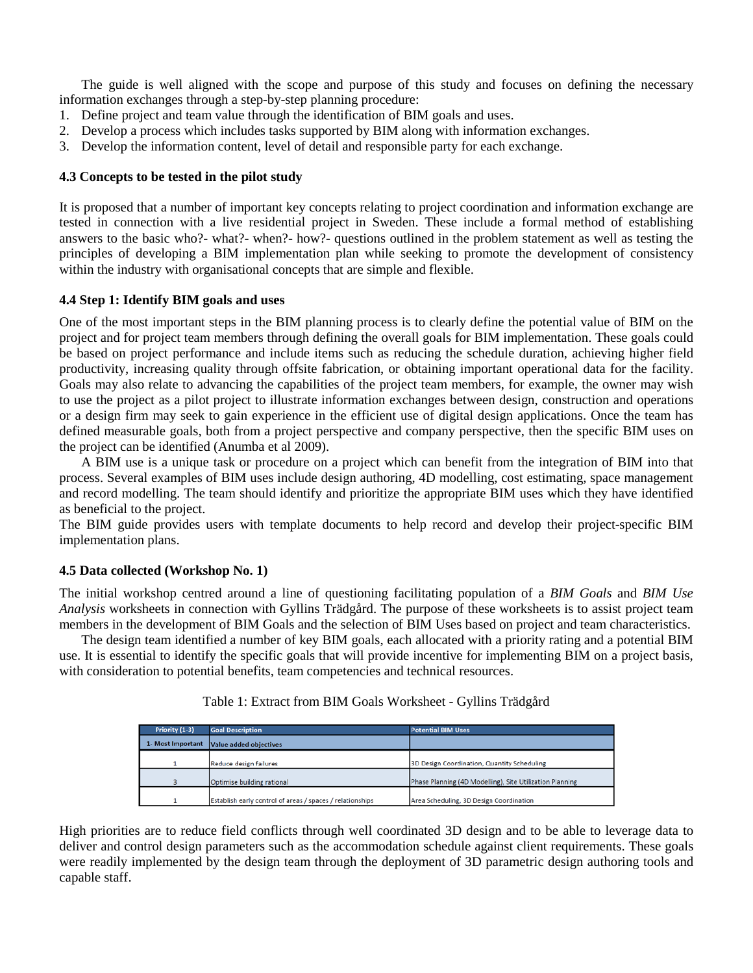The guide is well aligned with the scope and purpose of this study and focuses on defining the necessary information exchanges through a step-by-step planning procedure:

- 1. Define project and team value through the identification of BIM goals and uses.
- 2. Develop a process which includes tasks supported by BIM along with information exchanges.
- 3. Develop the information content, level of detail and responsible party for each exchange.

#### **4.3 Concepts to be tested in the pilot study**

It is proposed that a number of important key concepts relating to project coordination and information exchange are tested in connection with a live residential project in Sweden. These include a formal method of establishing answers to the basic who?- what?- when?- how?- questions outlined in the problem statement as well as testing the principles of developing a BIM implementation plan while seeking to promote the development of consistency within the industry with organisational concepts that are simple and flexible.

#### **4.4 Step 1: Identify BIM goals and uses**

One of the most important steps in the BIM planning process is to clearly define the potential value of BIM on the project and for project team members through defining the overall goals for BIM implementation. These goals could be based on project performance and include items such as reducing the schedule duration, achieving higher field productivity, increasing quality through offsite fabrication, or obtaining important operational data for the facility. Goals may also relate to advancing the capabilities of the project team members, for example, the owner may wish to use the project as a pilot project to illustrate information exchanges between design, construction and operations or a design firm may seek to gain experience in the efficient use of digital design applications. Once the team has defined measurable goals, both from a project perspective and company perspective, then the specific BIM uses on the project can be identified (Anumba et al 2009).

A BIM use is a unique task or procedure on a project which can benefit from the integration of BIM into that process. Several examples of BIM uses include design authoring, 4D modelling, cost estimating, space management and record modelling. The team should identify and prioritize the appropriate BIM uses which they have identified as beneficial to the project.

The BIM guide provides users with template documents to help record and develop their project-specific BIM implementation plans.

## **4.5 Data collected (Workshop No. 1)**

The initial workshop centred around a line of questioning facilitating population of a *BIM Goals* and *BIM Use Analysis* worksheets in connection with Gyllins Trädgård. The purpose of these worksheets is to assist project team members in the development of BIM Goals and the selection of BIM Uses based on project and team characteristics.

The design team identified a number of key BIM goals, each allocated with a priority rating and a potential BIM use. It is essential to identify the specific goals that will provide incentive for implementing BIM on a project basis, with consideration to potential benefits, team competencies and technical resources.

| Priority (1-3)    | <b>Goal Description</b>                                   | <b>Potential BIM Uses</b>                                |
|-------------------|-----------------------------------------------------------|----------------------------------------------------------|
| 1- Most Important | Value added objectives                                    |                                                          |
|                   | Reduce design failures                                    | 3D Design Coordination, Quantity Scheduling              |
|                   | Optimise building rational                                | Phase Planning (4D Modelling), Site Utilization Planning |
|                   | Establish early control of areas / spaces / relationships | Area Scheduling, 3D Design Coordination                  |

Table 1: Extract from BIM Goals Worksheet - Gyllins Trädgård

High priorities are to reduce field conflicts through well coordinated 3D design and to be able to leverage data to deliver and control design parameters such as the accommodation schedule against client requirements. These goals were readily implemented by the design team through the deployment of 3D parametric design authoring tools and capable staff.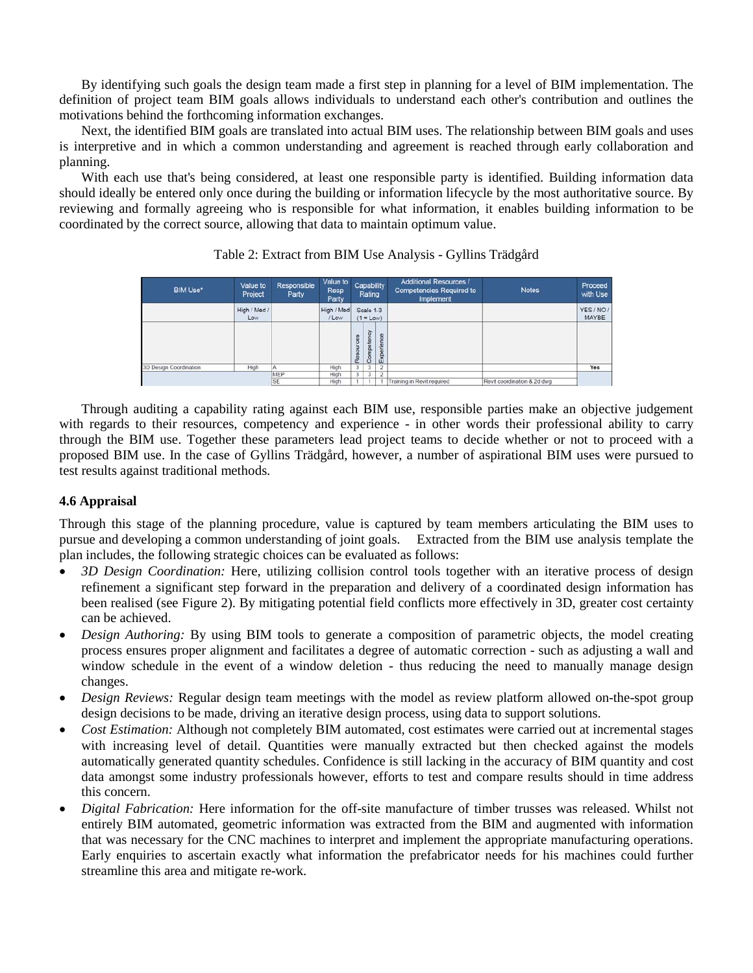By identifying such goals the design team made a first step in planning for a level of BIM implementation. The definition of project team BIM goals allows individuals to understand each other's contribution and outlines the motivations behind the forthcoming information exchanges.

Next, the identified BIM goals are translated into actual BIM uses. The relationship between BIM goals and uses is interpretive and in which a common understanding and agreement is reached through early collaboration and planning.

With each use that's being considered, at least one responsible party is identified. Building information data should ideally be entered only once during the building or information lifecycle by the most authoritative source. By reviewing and formally agreeing who is responsible for what information, it enables building information to be coordinated by the correct source, allowing that data to maintain optimum value.

| <b>BIM Use*</b>        | Responsible<br>Value to<br>Project<br>Party |     | Value to<br>Resp<br>Party |           | Rating                   | Capability     | <b>Additional Resources /</b><br><b>Competencies Required to</b><br>Implement | <b>Notes</b>                | Proceed<br>with Use |
|------------------------|---------------------------------------------|-----|---------------------------|-----------|--------------------------|----------------|-------------------------------------------------------------------------------|-----------------------------|---------------------|
|                        | High / Med /<br>Low                         |     | High / Med<br>/ Low       |           | Scale 1-3<br>$(1 = Low)$ |                |                                                                               |                             | YES / NO /<br>MAYBE |
|                        |                                             |     |                           | Resources | Competency               | Experience     |                                                                               |                             |                     |
| 3D Design Coordination | High                                        |     | High                      | 3         | 3                        | $\overline{2}$ |                                                                               |                             | Yes                 |
|                        |                                             | MEP | High                      | 3         | 3                        | $\overline{2}$ |                                                                               |                             |                     |
|                        |                                             | SE  | High                      |           |                          |                | Training in Revit required                                                    | Revit coordination & 2d dwg |                     |

## Table 2: Extract from BIM Use Analysis - Gyllins Trädgård

Through auditing a capability rating against each BIM use, responsible parties make an objective judgement with regards to their resources, competency and experience - in other words their professional ability to carry through the BIM use. Together these parameters lead project teams to decide whether or not to proceed with a proposed BIM use. In the case of Gyllins Trädgård, however, a number of aspirational BIM uses were pursued to test results against traditional methods.

## **4.6 Appraisal**

Through this stage of the planning procedure, value is captured by team members articulating the BIM uses to pursue and developing a common understanding of joint goals. Extracted from the BIM use analysis template the plan includes, the following strategic choices can be evaluated as follows:

- *3D Design Coordination:* Here, utilizing collision control tools together with an iterative process of design refinement a significant step forward in the preparation and delivery of a coordinated design information has been realised (see Figure 2). By mitigating potential field conflicts more effectively in 3D, greater cost certainty can be achieved.
- *Design Authoring:* By using BIM tools to generate a composition of parametric objects, the model creating process ensures proper alignment and facilitates a degree of automatic correction - such as adjusting a wall and window schedule in the event of a window deletion - thus reducing the need to manually manage design changes.
- *Design Reviews:* Regular design team meetings with the model as review platform allowed on-the-spot group design decisions to be made, driving an iterative design process, using data to support solutions.
- *Cost Estimation:* Although not completely BIM automated, cost estimates were carried out at incremental stages with increasing level of detail. Quantities were manually extracted but then checked against the models automatically generated quantity schedules. Confidence is still lacking in the accuracy of BIM quantity and cost data amongst some industry professionals however, efforts to test and compare results should in time address this concern.
- *Digital Fabrication:* Here information for the off-site manufacture of timber trusses was released. Whilst not entirely BIM automated, geometric information was extracted from the BIM and augmented with information that was necessary for the CNC machines to interpret and implement the appropriate manufacturing operations. Early enquiries to ascertain exactly what information the prefabricator needs for his machines could further streamline this area and mitigate re-work.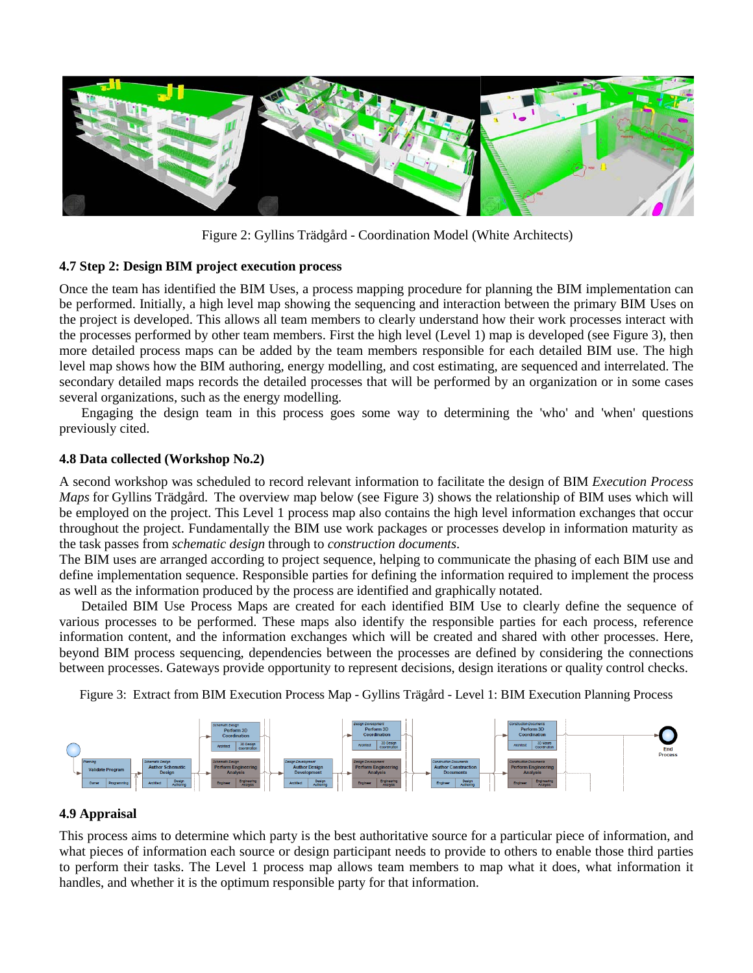

Figure 2: Gyllins Trädgård - Coordination Model (White Architects)

## **4.7 Step 2: Design BIM project execution process**

Once the team has identified the BIM Uses, a process mapping procedure for planning the BIM implementation can be performed. Initially, a high level map showing the sequencing and interaction between the primary BIM Uses on the project is developed. This allows all team members to clearly understand how their work processes interact with the processes performed by other team members. First the high level (Level 1) map is developed (see Figure 3), then more detailed process maps can be added by the team members responsible for each detailed BIM use. The high level map shows how the BIM authoring, energy modelling, and cost estimating, are sequenced and interrelated. The secondary detailed maps records the detailed processes that will be performed by an organization or in some cases several organizations, such as the energy modelling.

Engaging the design team in this process goes some way to determining the 'who' and 'when' questions previously cited.

#### **4.8 Data collected (Workshop No.2)**

A second workshop was scheduled to record relevant information to facilitate the design of BIM *Execution Process Maps* for Gyllins Trädgård. The overview map below (see Figure 3) shows the relationship of BIM uses which will be employed on the project. This Level 1 process map also contains the high level information exchanges that occur throughout the project. Fundamentally the BIM use work packages or processes develop in information maturity as the task passes from *schematic design* through to *construction documents*.

The BIM uses are arranged according to project sequence, helping to communicate the phasing of each BIM use and define implementation sequence. Responsible parties for defining the information required to implement the process as well as the information produced by the process are identified and graphically notated.

Detailed BIM Use Process Maps are created for each identified BIM Use to clearly define the sequence of various processes to be performed. These maps also identify the responsible parties for each process, reference information content, and the information exchanges which will be created and shared with other processes. Here, beyond BIM process sequencing, dependencies between the processes are defined by considering the connections between processes. Gateways provide opportunity to represent decisions, design iterations or quality control checks.

Figure 3: Extract from BIM Execution Process Map - Gyllins Trägård - Level 1: BIM Execution Planning Process



## **4.9 Appraisal**

This process aims to determine which party is the best authoritative source for a particular piece of information, and what pieces of information each source or design participant needs to provide to others to enable those third parties to perform their tasks. The Level 1 process map allows team members to map what it does, what information it handles, and whether it is the optimum responsible party for that information.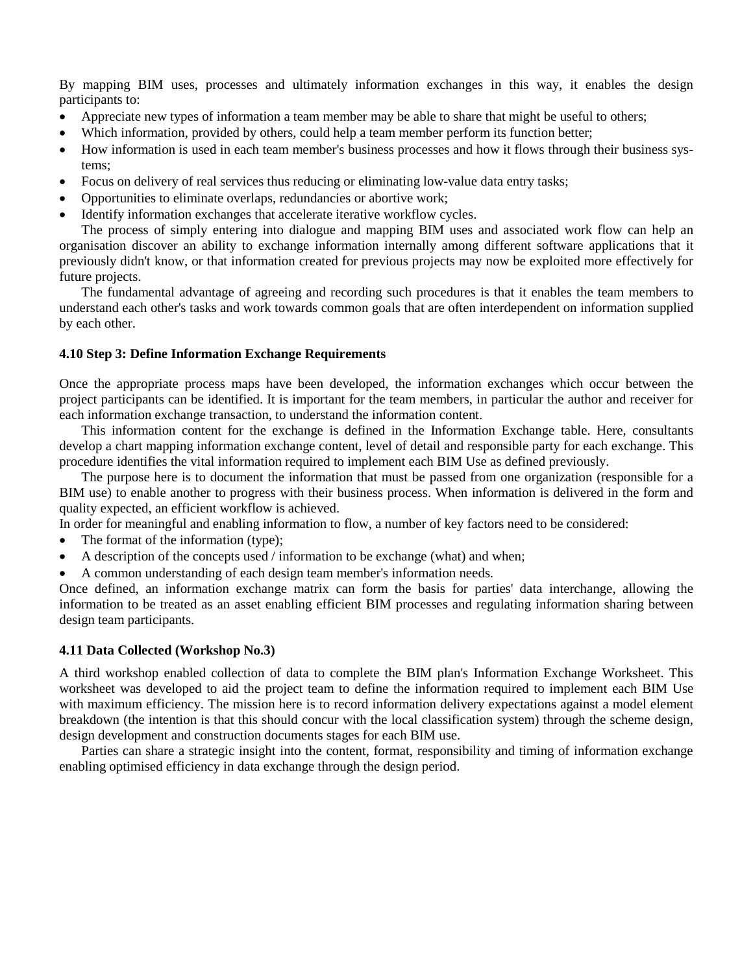By mapping BIM uses, processes and ultimately information exchanges in this way, it enables the design participants to:

- Appreciate new types of information a team member may be able to share that might be useful to others;
- Which information, provided by others, could help a team member perform its function better;
- How information is used in each team member's business processes and how it flows through their business systems;
- Focus on delivery of real services thus reducing or eliminating low-value data entry tasks;
- Opportunities to eliminate overlaps, redundancies or abortive work;
- Identify information exchanges that accelerate iterative workflow cycles.

The process of simply entering into dialogue and mapping BIM uses and associated work flow can help an organisation discover an ability to exchange information internally among different software applications that it previously didn't know, or that information created for previous projects may now be exploited more effectively for future projects.

The fundamental advantage of agreeing and recording such procedures is that it enables the team members to understand each other's tasks and work towards common goals that are often interdependent on information supplied by each other.

#### **4.10 Step 3: Define Information Exchange Requirements**

Once the appropriate process maps have been developed, the information exchanges which occur between the project participants can be identified. It is important for the team members, in particular the author and receiver for each information exchange transaction, to understand the information content.

This information content for the exchange is defined in the Information Exchange table. Here, consultants develop a chart mapping information exchange content, level of detail and responsible party for each exchange. This procedure identifies the vital information required to implement each BIM Use as defined previously.

The purpose here is to document the information that must be passed from one organization (responsible for a BIM use) to enable another to progress with their business process. When information is delivered in the form and quality expected, an efficient workflow is achieved.

In order for meaningful and enabling information to flow, a number of key factors need to be considered:

- The format of the information (type);
- A description of the concepts used  $/$  information to be exchange (what) and when;
- A common understanding of each design team member's information needs.

Once defined, an information exchange matrix can form the basis for parties' data interchange, allowing the information to be treated as an asset enabling efficient BIM processes and regulating information sharing between design team participants.

#### **4.11 Data Collected (Workshop No.3)**

A third workshop enabled collection of data to complete the BIM plan's Information Exchange Worksheet. This worksheet was developed to aid the project team to define the information required to implement each BIM Use with maximum efficiency. The mission here is to record information delivery expectations against a model element breakdown (the intention is that this should concur with the local classification system) through the scheme design, design development and construction documents stages for each BIM use.

Parties can share a strategic insight into the content, format, responsibility and timing of information exchange enabling optimised efficiency in data exchange through the design period.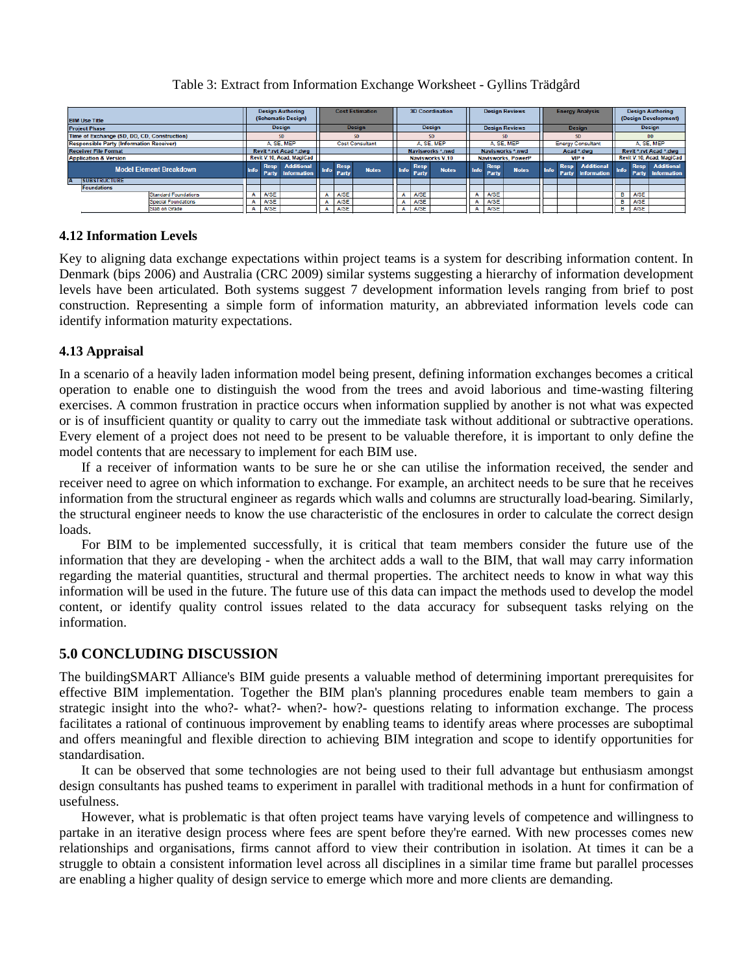## Table 3: Extract from Information Exchange Worksheet - Gyllins Trädgård

| <b>BIM Use Title</b>                            |  | <b>Design Authoring</b><br>(Schematic Design) |                                         | <b>Cost Estimation</b> |                           |              | <b>3D Coordination</b> |                      |              |                           |                      | <b>Design Reviews</b> |                          |                      | <b>Energy Analysis</b>           | <b>Design Authoring</b><br>(Design Development) |             |                                             |
|-------------------------------------------------|--|-----------------------------------------------|-----------------------------------------|------------------------|---------------------------|--------------|------------------------|----------------------|--------------|---------------------------|----------------------|-----------------------|--------------------------|----------------------|----------------------------------|-------------------------------------------------|-------------|---------------------------------------------|
| <b>Project Phase</b>                            |  | <b>Design</b>                                 |                                         | <b>Design</b>          |                           |              | <b>Design</b>          |                      |              | <b>Design Reviews</b>     |                      |                       | <b>Design</b>            |                      |                                  | <b>Design</b>                                   |             |                                             |
| Time of Exchange (SD, DD, CD, Construction)     |  | SD.                                           |                                         | <b>SD</b>              |                           |              | <b>SD</b>              |                      |              | <b>SD</b>                 |                      |                       | SD.                      |                      |                                  | <b>DD</b>                                       |             |                                             |
| <b>Responsible Party (Information Receiver)</b> |  | A. SE. MEP                                    |                                         | <b>Cost Consultant</b> |                           |              | A. SE. MEP             |                      |              | A. SE. MEP                |                      |                       | <b>Energy Consultant</b> |                      |                                  | A. SE. MEP                                      |             |                                             |
| <b>Receiver File Format</b>                     |  | Revit *.rvt Acad *.dwg                        |                                         |                        |                           |              | Navisworks *.nwd       |                      |              | Navisworks *.nwd          |                      |                       | Acad *.dwg               |                      |                                  | Revit *.rvt Acad *.dwg                          |             |                                             |
| <b>Application &amp; Version</b>                |  | Revit V.10, Acad, MagiCad                     |                                         |                        |                           |              | Navisworks V.10        |                      |              | <b>Navisworks, PowerP</b> |                      |                       | $VIP +$                  |                      |                                  | Revit V.10, Acad, MagiCad                       |             |                                             |
| <b>Model Element Breakdown</b>                  |  | <b>Resp</b><br><b>Info</b><br>Party           | <b>Additional</b><br><b>Information</b> |                        | <b>Resp</b><br>Info Party | <b>Notes</b> | <b>Info</b>            | <b>Resp</b><br>Party | <b>Notes</b> | <b>Info</b>               | <b>Resp</b><br>Party | <b>Notes</b>          | Info                     | <b>Resp</b><br>Party | <b>Additional</b><br>Information | Info                                            |             | Resp Additional<br><b>Party</b> Information |
| <b>ISUBSTRUCTURE</b>                            |  |                                               |                                         |                        |                           |              |                        |                      |              |                           |                      |                       |                          |                      |                                  |                                                 |             |                                             |
| <b>Foundations</b>                              |  |                                               |                                         |                        |                           |              |                        |                      |              |                           |                      |                       |                          |                      |                                  |                                                 |             |                                             |
| <b>Standard Foundations</b>                     |  | A/SE                                          |                                         |                        | A/SE                      |              |                        | <b>A/SE</b>          |              |                           | A/SE                 |                       |                          |                      |                                  |                                                 | A/SE        |                                             |
| <b>Special Foundations</b>                      |  | <b>A/SE</b>                                   |                                         |                        | A/SE                      |              |                        | <b>A/SE</b>          |              |                           | <b>A/SE</b>          |                       |                          |                      |                                  |                                                 | <b>A/SE</b> |                                             |
| Slab on Grade                                   |  | <b>A/SE</b>                                   |                                         |                        | A/SE                      |              |                        | <b>A/SE</b>          |              |                           | <b>A/SE</b>          |                       |                          |                      |                                  |                                                 | <b>A/SE</b> |                                             |

## **4.12 Information Levels**

Key to aligning data exchange expectations within project teams is a system for describing information content. In Denmark (bips 2006) and Australia (CRC 2009) similar systems suggesting a hierarchy of information development levels have been articulated. Both systems suggest 7 development information levels ranging from brief to post construction. Representing a simple form of information maturity, an abbreviated information levels code can identify information maturity expectations.

## **4.13 Appraisal**

In a scenario of a heavily laden information model being present, defining information exchanges becomes a critical operation to enable one to distinguish the wood from the trees and avoid laborious and time-wasting filtering exercises. A common frustration in practice occurs when information supplied by another is not what was expected or is of insufficient quantity or quality to carry out the immediate task without additional or subtractive operations. Every element of a project does not need to be present to be valuable therefore, it is important to only define the model contents that are necessary to implement for each BIM use.

If a receiver of information wants to be sure he or she can utilise the information received, the sender and receiver need to agree on which information to exchange. For example, an architect needs to be sure that he receives information from the structural engineer as regards which walls and columns are structurally load-bearing. Similarly, the structural engineer needs to know the use characteristic of the enclosures in order to calculate the correct design loads.

For BIM to be implemented successfully, it is critical that team members consider the future use of the information that they are developing - when the architect adds a wall to the BIM, that wall may carry information regarding the material quantities, structural and thermal properties. The architect needs to know in what way this information will be used in the future. The future use of this data can impact the methods used to develop the model content, or identify quality control issues related to the data accuracy for subsequent tasks relying on the information.

## **5.0 CONCLUDING DISCUSSION**

The buildingSMART Alliance's BIM guide presents a valuable method of determining important prerequisites for effective BIM implementation. Together the BIM plan's planning procedures enable team members to gain a strategic insight into the who?- what?- when?- how?- questions relating to information exchange. The process facilitates a rational of continuous improvement by enabling teams to identify areas where processes are suboptimal and offers meaningful and flexible direction to achieving BIM integration and scope to identify opportunities for standardisation.

It can be observed that some technologies are not being used to their full advantage but enthusiasm amongst design consultants has pushed teams to experiment in parallel with traditional methods in a hunt for confirmation of usefulness.

However, what is problematic is that often project teams have varying levels of competence and willingness to partake in an iterative design process where fees are spent before they're earned. With new processes comes new relationships and organisations, firms cannot afford to view their contribution in isolation. At times it can be a struggle to obtain a consistent information level across all disciplines in a similar time frame but parallel processes are enabling a higher quality of design service to emerge which more and more clients are demanding.